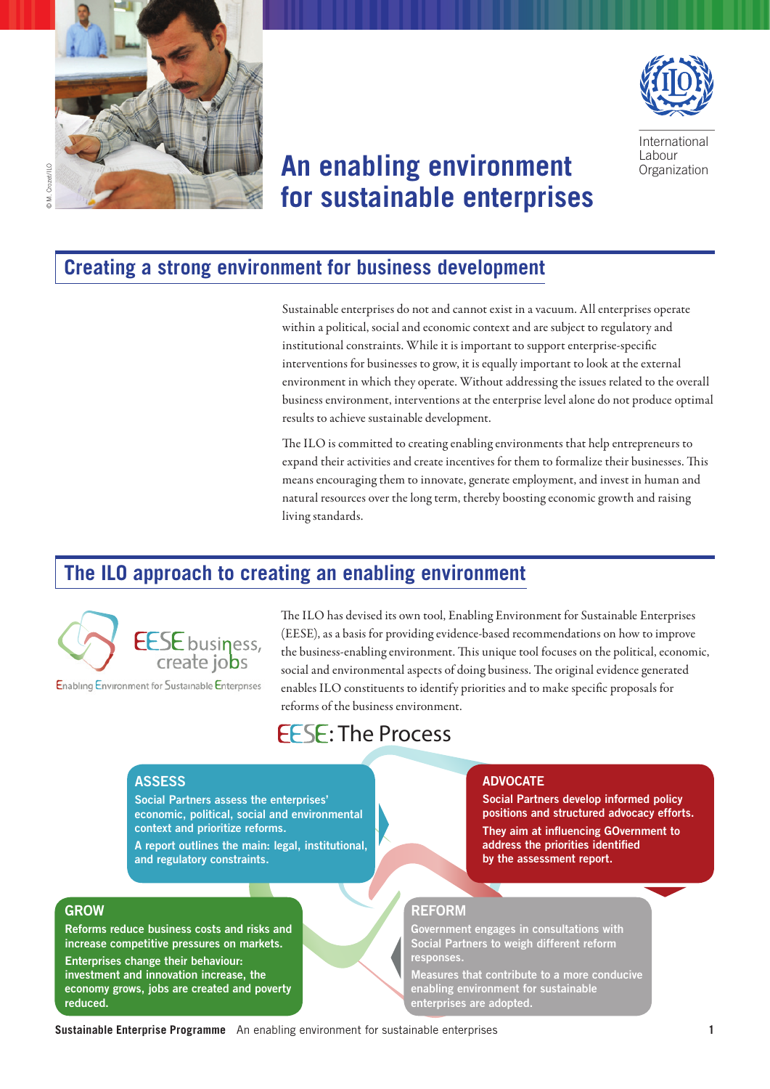



International **Labour Organization** 

# **An enabling environment for sustainable enterprises**

Crozet /II O © M. Crozet/ILO

### **Creating a strong environment for business development**

Sustainable enterprises do not and cannot exist in a vacuum. All enterprises operate within a political, social and economic context and are subject to regulatory and institutional constraints. While it is important to support enterprise-specific interventions for businesses to grow, it is equally important to look at the external environment in which they operate. Without addressing the issues related to the overall business environment, interventions at the enterprise level alone do not produce optimal results to achieve sustainable development.

The ILO is committed to creating enabling environments that help entrepreneurs to expand their activities and create incentives for them to formalize their businesses. This means encouraging them to innovate, generate employment, and invest in human and natural resources over the long term, thereby boosting economic growth and raising living standards.

## **The ILO approach to creating an enabling environment**



Enabling Environment for Sustainable Enterprises

The ILO has devised its own tool, Enabling Environment for Sustainable Enterprises (EESE), as a basis for providing evidence-based recommendations on how to improve the business-enabling environment. This unique tool focuses on the political, economic, social and environmental aspects of doing business. The original evidence generated enables ILO constituents to identify priorities and to make specific proposals for reforms of the business environment.

# **EFSE: The Process**

### **ASSESS**

Social Partners assess the enterprises' economic, political, social and environmental context and prioritize reforms.

A report outlines the main: legal, institutional, and regulatory constraints.

### GROW

Reforms reduce business costs and risks and increase competitive pressures on markets.

Enterprises change their behaviour: investment and innovation increase, the economy grows, jobs are created and poverty reduced.

#### ADVOCATE

Social Partners develop informed policy positions and structured advocacy efforts. They aim at influencing GOvernment to address the priorities identified by the assessment report.

### REFORM

Government engages in consultations with Social Partners to weigh different reform responses.

Measures that contribute to a more conducive enabling environment for sustainable enterprises are adopted.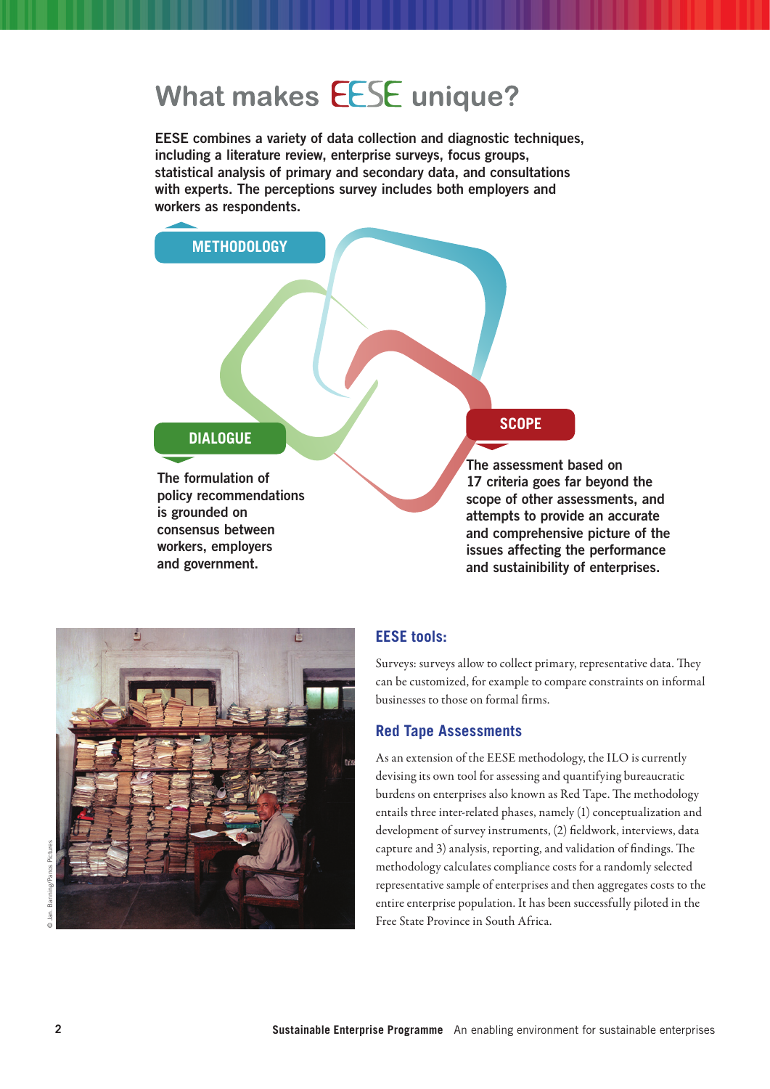# What makes **EESE** unique?

EESE combines a variety of data collection and diagnostic techniques, including a literature review, enterprise surveys, focus groups, statistical analysis of primary and secondary data, and consultations with experts. The perceptions survey includes both employers and workers as respondents.

### **DIALOGUE**

**METHODOLOGY**

The formulation of policy recommendations is grounded on consensus between workers, employers and government.

### **SCOPE**

The assessment based on 17 criteria goes far beyond the scope of other assessments, and attempts to provide an accurate and comprehensive picture of the issues affecting the performance and sustainibility of enterprises.



**EESE tools:**

Surveys: surveys allow to collect primary, representative data. They can be customized, for example to compare constraints on informal businesses to those on formal firms.

### **Red Tape Assessments**

As an extension of the EESE methodology, the ILO is currently devising its own tool for assessing and quantifying bureaucratic burdens on enterprises also known as Red Tape. The methodology entails three inter-related phases, namely (1) conceptualization and development of survey instruments, (2) fieldwork, interviews, data capture and 3) analysis, reporting, and validation of findings. The methodology calculates compliance costs for a randomly selected representative sample of enterprises and then aggregates costs to the entire enterprise population. It has been successfully piloted in the Free State Province in South Africa.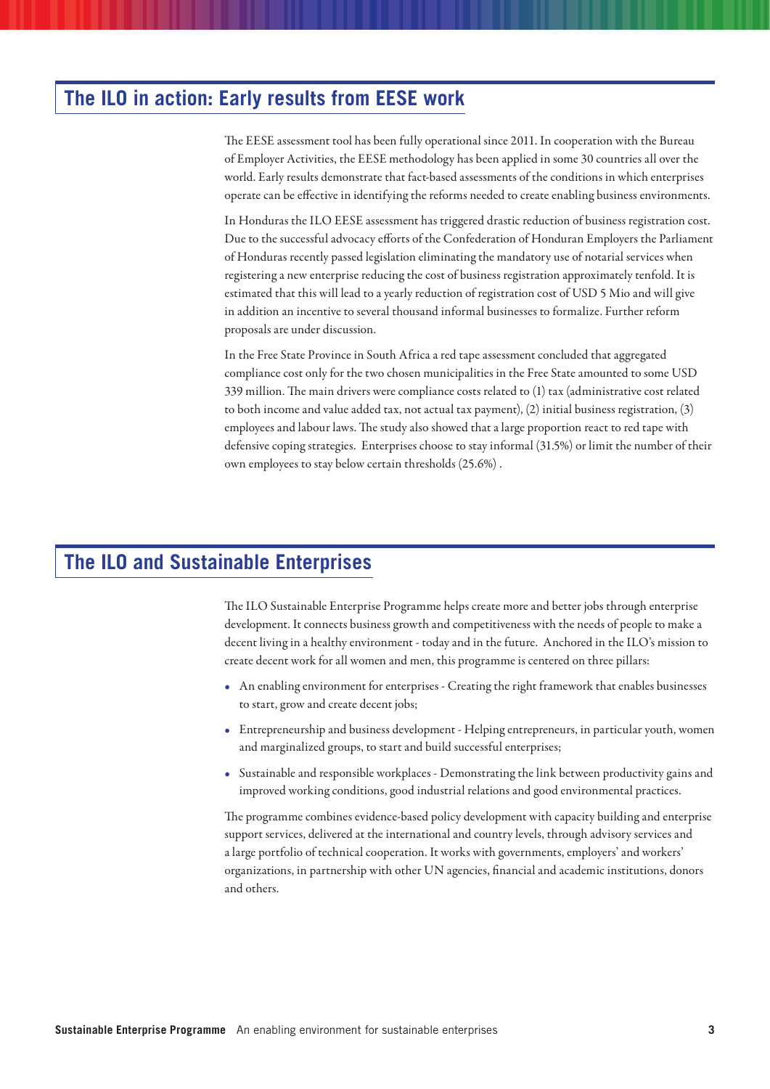## **The ILO in action: Early results from EESE work**

The EESE assessment tool has been fully operational since 2011. In cooperation with the Bureau of Employer Activities, the EESE methodology has been applied in some 30 countries all over the world. Early results demonstrate that fact-based assessments of the conditions in which enterprises operate can be effective in identifying the reforms needed to create enabling business environments.

In Honduras the ILO EESE assessment has triggered drastic reduction of business registration cost. Due to the successful advocacy efforts of the Confederation of Honduran Employers the Parliament of Honduras recently passed legislation eliminating the mandatory use of notarial services when registering a new enterprise reducing the cost of business registration approximately tenfold. It is estimated that this will lead to a yearly reduction of registration cost of USD 5 Mio and will give in addition an incentive to several thousand informal businesses to formalize. Further reform proposals are under discussion.

In the Free State Province in South Africa a red tape assessment concluded that aggregated compliance cost only for the two chosen municipalities in the Free State amounted to some USD 339 million. The main drivers were compliance costs related to (1) tax (administrative cost related to both income and value added tax, not actual tax payment), (2) initial business registration, (3) employees and labour laws. The study also showed that a large proportion react to red tape with defensive coping strategies. Enterprises choose to stay informal (31.5%) or limit the number of their own employees to stay below certain thresholds (25.6%) .

# **The ILO and Sustainable Enterprises**

The ILO Sustainable Enterprise Programme helps create more and better jobs through enterprise development. It connects business growth and competitiveness with the needs of people to make a decent living in a healthy environment - today and in the future. Anchored in the ILO's mission to create decent work for all women and men, this programme is centered on three pillars:

- • An enabling environment for enterprises Creating the right framework that enables businesses to start, grow and create decent jobs;
- • Entrepreneurship and business development Helping entrepreneurs, in particular youth, women and marginalized groups, to start and build successful enterprises;
- • Sustainable and responsible workplaces Demonstrating the link between productivity gains and improved working conditions, good industrial relations and good environmental practices.

The programme combines evidence-based policy development with capacity building and enterprise support services, delivered at the international and country levels, through advisory services and a large portfolio of technical cooperation. It works with governments, employers' and workers' organizations, in partnership with other UN agencies, financial and academic institutions, donors and others.